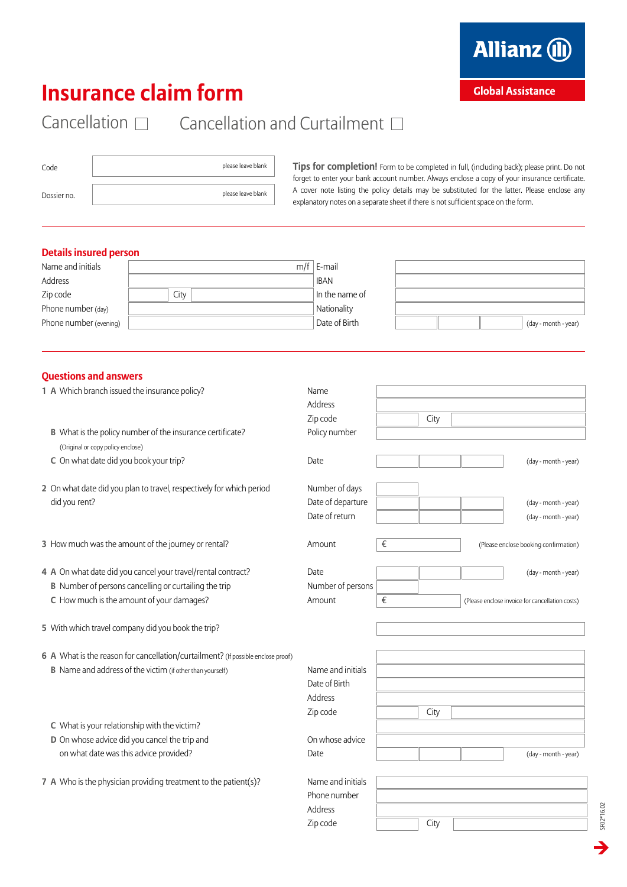

### **Global Assistance**

# **Insurance claim form**

## Cancellation  $\square$  Cancellation and Curtailment  $\square$

| Code        | please leave blank |
|-------------|--------------------|
| Dossier no. | please leave blank |

**Tips for completion!** Form to be completed in full, (including back); please print. Do not forget to enter your bank account number. Always enclose a copy of your insurance certificate. A cover note listing the policy details may be substituted for the latter. Please enclose any explanatory notes on a separate sheet if there is not sufficient space on the form.

### **Details insured person**

| Name and initials      |      | $m/f \mid E$ -mail |                      |
|------------------------|------|--------------------|----------------------|
| Address                |      | <b>IBAN</b>        |                      |
| Zip code               | City | In the name of     |                      |
| Phone number (day)     |      | Nationality        |                      |
| Phone number (evening) |      | Date of Birth      | (day - month - year) |

### **Questions and answers**

| 1 A Which branch issued the insurance policy?                                    | Name              |      |                                                 |
|----------------------------------------------------------------------------------|-------------------|------|-------------------------------------------------|
|                                                                                  | Address           |      |                                                 |
|                                                                                  | Zip code          | City |                                                 |
| B What is the policy number of the insurance certificate?                        | Policy number     |      |                                                 |
| (Original or copy policy enclose)                                                |                   |      |                                                 |
| C On what date did you book your trip?                                           | Date              |      | (day - month - year)                            |
| 2 On what date did you plan to travel, respectively for which period             | Number of days    |      |                                                 |
| did you rent?                                                                    | Date of departure |      | (day - month - year)                            |
|                                                                                  | Date of return    |      | (day - month - year)                            |
| 3 How much was the amount of the journey or rental?                              | Amount            | €    | (Please enclose booking confirmation)           |
|                                                                                  |                   |      |                                                 |
| 4 A On what date did you cancel your travel/rental contract?                     | Date              |      | (day - month - year)                            |
| <b>B</b> Number of persons cancelling or curtailing the trip                     | Number of persons |      |                                                 |
| C How much is the amount of your damages?                                        | Amount            | €    | (Please enclose invoice for cancellation costs) |
| 5 With which travel company did you book the trip?                               |                   |      |                                                 |
|                                                                                  |                   |      |                                                 |
| 6 A What is the reason for cancellation/curtailment? (If possible enclose proof) |                   |      |                                                 |
| <b>B</b> Name and address of the victim (if other than yourself)                 | Name and initials |      |                                                 |
|                                                                                  | Date of Birth     |      |                                                 |
|                                                                                  | Address           |      |                                                 |
|                                                                                  | Zip code          | City |                                                 |
| C What is your relationship with the victim?                                     |                   |      |                                                 |
| D On whose advice did you cancel the trip and                                    | On whose advice   |      |                                                 |
| on what date was this advice provided?                                           | Date              |      | (day - month - year)                            |
| 7 A Who is the physician providing treatment to the patient(s)?                  | Name and initials |      |                                                 |
|                                                                                  | Phone number      |      |                                                 |
|                                                                                  | Address           |      |                                                 |
|                                                                                  | Zip code          | City |                                                 |
|                                                                                  |                   |      |                                                 |

SF02\*16.02 SF02\*16.02  $\rightarrow$